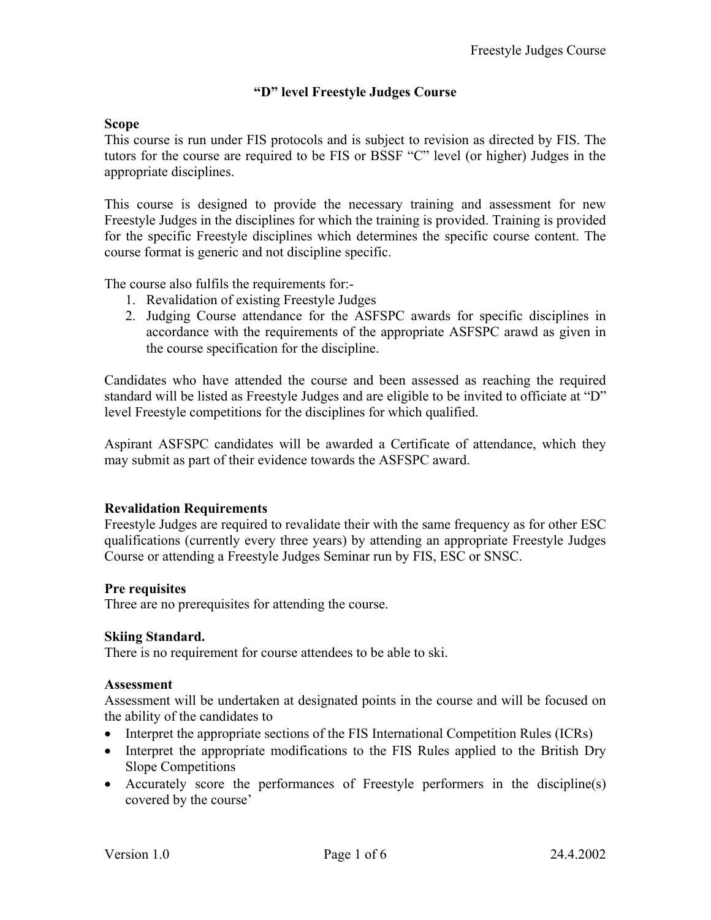# **"D" level Freestyle Judges Course**

## **Scope**

This course is run under FIS protocols and is subject to revision as directed by FIS. The tutors for the course are required to be FIS or BSSF "C" level (or higher) Judges in the appropriate disciplines.

This course is designed to provide the necessary training and assessment for new Freestyle Judges in the disciplines for which the training is provided. Training is provided for the specific Freestyle disciplines which determines the specific course content. The course format is generic and not discipline specific.

The course also fulfils the requirements for:-

- 1. Revalidation of existing Freestyle Judges
- 2. Judging Course attendance for the ASFSPC awards for specific disciplines in accordance with the requirements of the appropriate ASFSPC arawd as given in the course specification for the discipline.

Candidates who have attended the course and been assessed as reaching the required standard will be listed as Freestyle Judges and are eligible to be invited to officiate at "D" level Freestyle competitions for the disciplines for which qualified.

Aspirant ASFSPC candidates will be awarded a Certificate of attendance, which they may submit as part of their evidence towards the ASFSPC award.

# **Revalidation Requirements**

Freestyle Judges are required to revalidate their with the same frequency as for other ESC qualifications (currently every three years) by attending an appropriate Freestyle Judges Course or attending a Freestyle Judges Seminar run by FIS, ESC or SNSC.

### **Pre requisites**

Three are no prerequisites for attending the course.

### **Skiing Standard.**

There is no requirement for course attendees to be able to ski.

#### **Assessment**

Assessment will be undertaken at designated points in the course and will be focused on the ability of the candidates to

- Interpret the appropriate sections of the FIS International Competition Rules (ICRs)
- Interpret the appropriate modifications to the FIS Rules applied to the British Dry Slope Competitions
- Accurately score the performances of Freestyle performers in the discipline(s) covered by the course'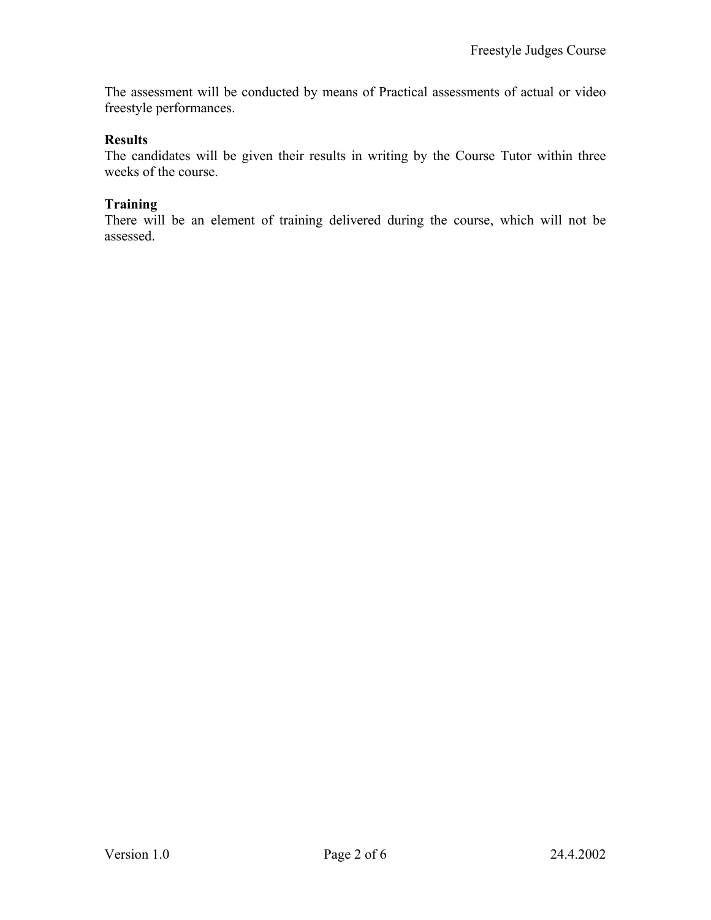The assessment will be conducted by means of Practical assessments of actual or video freestyle performances.

### **Results**

The candidates will be given their results in writing by the Course Tutor within three weeks of the course.

### **Training**

There will be an element of training delivered during the course, which will not be assessed.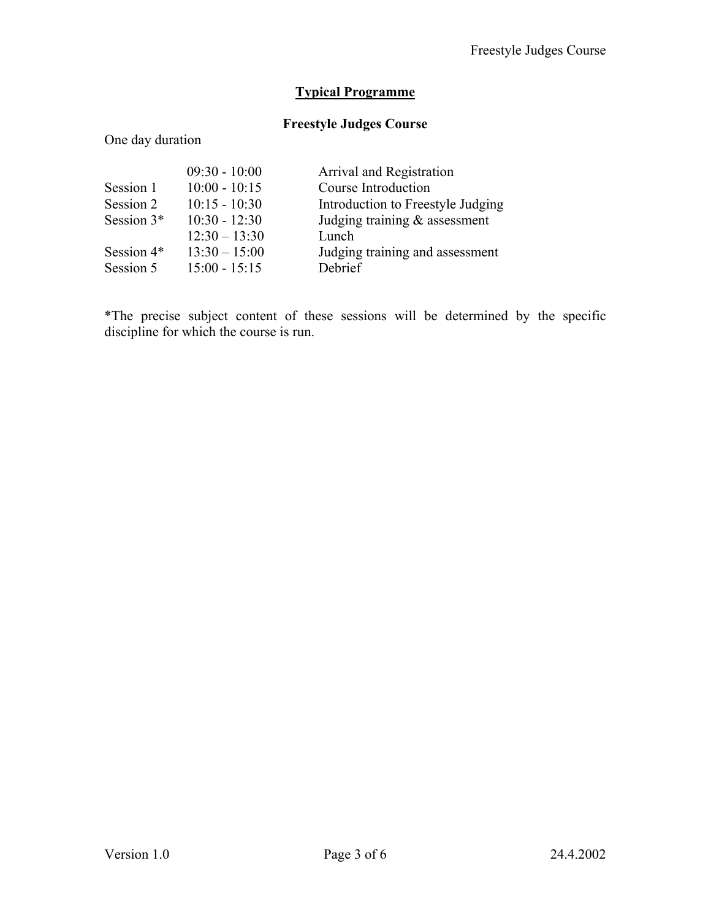# **Typical Programme**

# **Freestyle Judges Course**

## One day duration

|              | $09:30 - 10:00$ | Arrival and Registration          |
|--------------|-----------------|-----------------------------------|
| Session 1    | $10:00 - 10:15$ | Course Introduction               |
| Session 2    | $10:15 - 10:30$ | Introduction to Freestyle Judging |
| Session $3*$ | $10:30 - 12:30$ | Judging training $\&$ assessment  |
|              | $12:30 - 13:30$ | Lunch                             |
| Session 4*   | $13:30 - 15:00$ | Judging training and assessment   |
| Session 5    | $15:00 - 15:15$ | Debrief                           |

\*The precise subject content of these sessions will be determined by the specific discipline for which the course is run.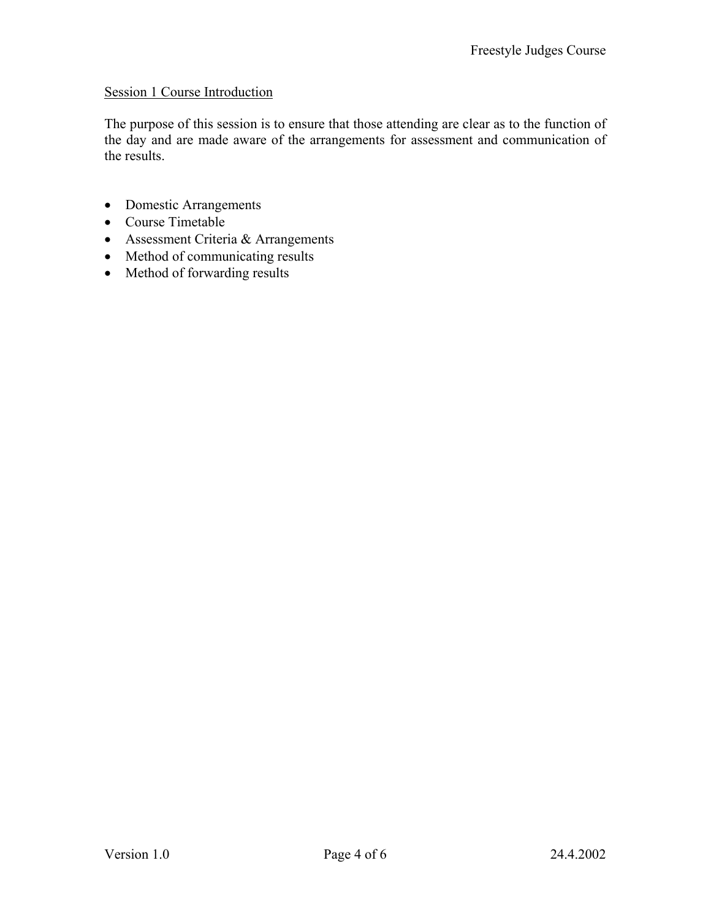## Session 1 Course Introduction

The purpose of this session is to ensure that those attending are clear as to the function of the day and are made aware of the arrangements for assessment and communication of the results.

- Domestic Arrangements
- Course Timetable
- Assessment Criteria & Arrangements
- Method of communicating results
- Method of forwarding results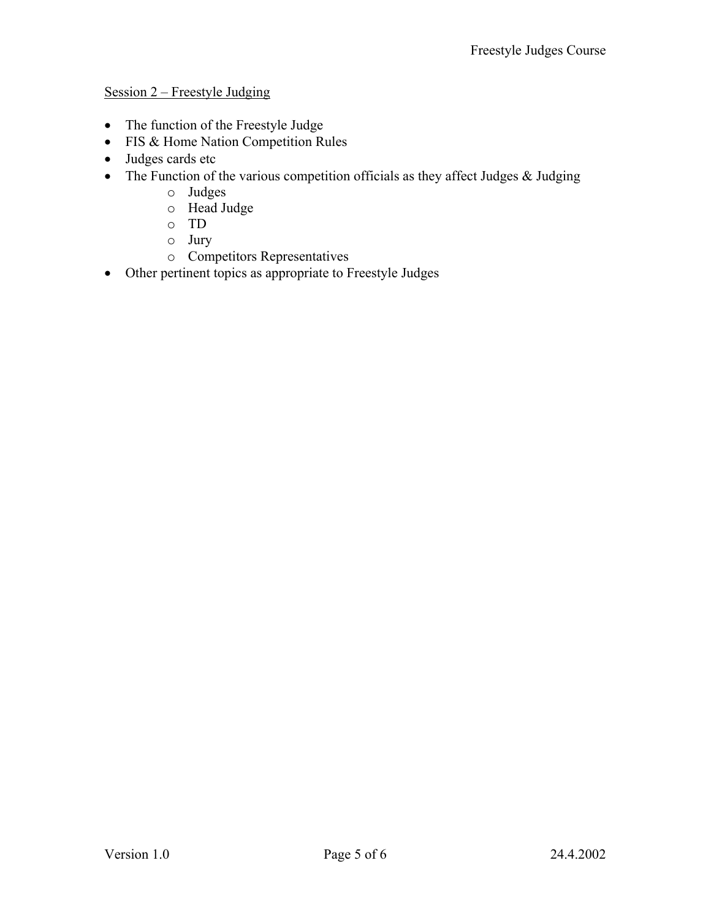# Session 2 – Freestyle Judging

- The function of the Freestyle Judge
- FIS & Home Nation Competition Rules
- Judges cards etc
- The Function of the various competition officials as they affect Judges & Judging
	- o Judges
	- o Head Judge
	- o TD
	- o Jury
	- o Competitors Representatives
- Other pertinent topics as appropriate to Freestyle Judges